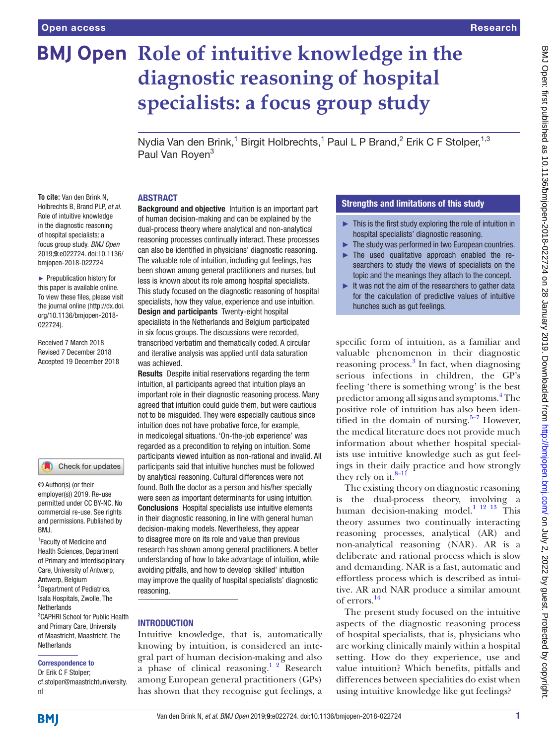# **BMJ Open Role of intuitive knowledge in the diagnostic reasoning of hospital specialists: a focus group study**

Nydia Van den Brink,<sup>1</sup> Birgit Holbrechts,<sup>1</sup> Paul L P Brand,<sup>2</sup> Erik C F Stolper,<sup>1,3</sup> Paul Van Roven<sup>3</sup>

#### **ABSTRACT**

**To cite:** Van den Brink N, Holbrechts B, Brand PLP, *et al*. Role of intuitive knowledge in the diagnostic reasoning of hospital specialists: a focus group study. *BMJ Open* 2019;9:e022724. doi:10.1136/ bmjopen-2018-022724

► Prepublication history for this paper is available online. To view these files, please visit the journal online [\(http://dx.doi.](http://dx.doi.org/10.1136/bmjopen-2018-022724) [org/10.1136/bmjopen-2018-](http://dx.doi.org/10.1136/bmjopen-2018-022724) [022724\)](http://dx.doi.org/10.1136/bmjopen-2018-022724).

Received 7 March 2018 Revised 7 December 2018 Accepted 19 December 2018



© Author(s) (or their employer(s)) 2019. Re-use permitted under CC BY-NC. No commercial re-use. See rights and permissions. Published by RM<sub>J</sub>

<sup>1</sup> Faculty of Medicine and Health Sciences, Department of Primary and Interdisciplinary Care, University of Antwerp, Antwerp, Belgium 2 Department of Pediatrics, Isala Hospitals, Zwolle, The Netherlands 3 CAPHRI School for Public Health and Primary Care, University of Maastricht, Maastricht, The Netherlands

#### Correspondence to

Dr Erik C F Stolper; cf.stolper@maastrichtuniversity. nl

**Background and objective** Intuition is an important part of human decision-making and can be explained by the dual-process theory where analytical and non-analytical reasoning processes continually interact. These processes can also be identified in physicians' diagnostic reasoning. The valuable role of intuition, including gut feelings, has been shown among general practitioners and nurses, but less is known about its role among hospital specialists. This study focused on the diagnostic reasoning of hospital specialists, how they value, experience and use intuition. Design and participants Twenty-eight hospital specialists in the Netherlands and Belgium participated in six focus groups. The discussions were recorded, transcribed verbatim and thematically coded. A circular and iterative analysis was applied until data saturation was achieved.

Results Despite initial reservations regarding the term intuition, all participants agreed that intuition plays an important role in their diagnostic reasoning process. Many agreed that intuition could guide them, but were cautious not to be misguided. They were especially cautious since intuition does not have probative force, for example, in medicolegal situations. 'On-the-job experience' was regarded as a precondition to relying on intuition. Some participants viewed intuition as non-rational and invalid. All participants said that intuitive hunches must be followed by analytical reasoning. Cultural differences were not found. Both the doctor as a person and his/her specialty were seen as important determinants for using intuition. Conclusions Hospital specialists use intuitive elements in their diagnostic reasoning, in line with general human decision-making models. Nevertheless, they appear to disagree more on its role and value than previous research has shown among general practitioners. A better understanding of how to take advantage of intuition, while avoiding pitfalls, and how to develop 'skilled' intuition may improve the quality of hospital specialists' diagnostic reasoning.

## **INTRODUCTION**

Intuitive knowledge, that is, automatically knowing by intuition, is considered an integral part of human decision-making and also a phase of clinical reasoning.<sup>1</sup> <sup>2</sup> Research among European general practitioners (GPs) has shown that they recognise gut feelings, a

## Strengths and limitations of this study

- $\blacktriangleright$  This is the first study exploring the role of intuition in hospital specialists' diagnostic reasoning.
- $\blacktriangleright$  The study was performed in two European countries.
- ► The used qualitative approach enabled the researchers to study the views of specialists on the topic and the meanings they attach to the concept.
- ► It was not the aim of the researchers to gather data for the calculation of predictive values of intuitive hunches such as gut feelings.

specific form of intuition, as a familiar and valuable phenomenon in their diagnostic reasoning process.<sup>3</sup> In fact, when diagnosing serious infections in children, the GP's feeling 'there is something wrong' is the best predictor among all signs and symptoms.<sup>[4](#page-6-2)</sup> The positive role of intuition has also been identified in the domain of nursing. $5-7$  However, the medical literature does not provide much information about whether hospital specialists use intuitive knowledge such as gut feelings in their daily practice and how strongly they rely on it. $8-11$ 

The existing theory on diagnostic reasoning is the dual-process theory, involving a human decision-making model.<sup>[1 12 13](#page-6-0)</sup> This theory assumes two continually interacting reasoning processes, analytical (AR) and non-analytical reasoning (NAR). AR is a deliberate and rational process which is slow and demanding. NAR is a fast, automatic and effortless process which is described as intuitive. AR and NAR produce a similar amount of errors.[14](#page-6-5)

The present study focused on the intuitive aspects of the diagnostic reasoning process of hospital specialists, that is, physicians who are working clinically mainly within a hospital setting. How do they experience, use and value intuition? Which benefits, pitfalls and differences between specialities do exist when using intuitive knowledge like gut feelings?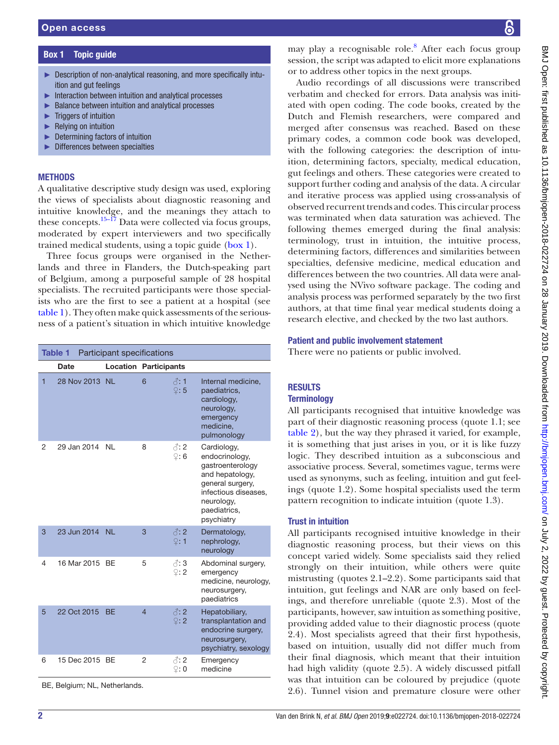Box 1 Topic quide

► Triggers of intuition ► Relying on intuition

<span id="page-1-0"></span>ition and gut feelings

► Description of non-analytical reasoning, and more specifically intu-

**METHODS** 

# A qualitative descriptive study design was used, exploring the views of specialists about diagnostic reasoning and intuitive knowledge, and the meanings they attach to these concepts.<sup>15–17</sup> Data were collected via focus groups, moderated by expert interviewers and two specifically trained medical students, using a topic guide ([box](#page-1-0) 1). Three focus groups were organised in the Netherlands and three in Flanders, the Dutch-speaking part of Belgium, among a purposeful sample of 28 hospital specialists. The recruited participants were those specialists who are the first to see a patient at a hospital (see [table](#page-1-1) 1). They often make quick assessments of the seriousness of a patient's situation in which intuitive knowledge ► Interaction between intuition and analytical processes ► Balance between intuition and analytical processes ► Determining factors of intuition ► Differences between specialties Table 1 Participant specifications Date **Location Participants**

Internal medicine, paediatrics, cardiology, neurology, emergency

#### medicine, pulmonology 2 29 Jan 2014 NL 8  $\beta$ : 2 ♀: 6 Cardiology, endocrinology, gastroenterology and hepatology, general surgery, infectious diseases, neurology, paediatrics, psychiatry 3 23 Jun 2014 NL 3  $\sqrt{3}$ : 2 ♀: 1 Dermatology, nephrology, neurology 4 16 Mar 2015 BE 5 3 ♀: 2 Abdominal surgery, emergency medicine, neurology, neurosurgery, paediatrics 5 22 Oct 2015 BE 4  $\beta$ : 2 ♀: 2 Hepatobiliary, transplantation and endocrine surgery, neurosurgery, psychiatry, sexology 6 15 Dec 2015 BE 2  $\beta$ : 2 **Emergency**

<span id="page-1-1"></span>28 Nov 2013 NL 6 ∂: 1

♀: 5

♀: 0

medicine

BE, Belgium; NL, Netherlands.

may play a recognisable role.<sup>[8](#page-6-4)</sup> After each focus group session, the script was adapted to elicit more explanations or to address other topics in the next groups.

Audio recordings of all discussions were transcribed verbatim and checked for errors. Data analysis was initiated with open coding. The code books, created by the Dutch and Flemish researchers, were compared and merged after consensus was reached. Based on these primary codes, a common code book was developed, with the following categories: the description of intuition, determining factors, specialty, medical education, gut feelings and others. These categories were created to support further coding and analysis of the data. A circular and iterative process was applied using cross-analysis of observed recurrent trends and codes. This circular process was terminated when data saturation was achieved. The following themes emerged during the final analysis: terminology, trust in intuition, the intuitive process, determining factors, differences and similarities between specialties, defensive medicine, medical education and differences between the two countries. All data were analysed using the NVivo software package. The coding and analysis process was performed separately by the two first authors, at that time final year medical students doing a research elective, and checked by the two last authors.

# Patient and public involvement statement

There were no patients or public involved.

# **RESULTS Terminology**

# All participants recognised that intuitive knowledge was part of their diagnostic reasoning process (quote 1.1; see [table](#page-2-0) 2), but the way they phrased it varied, for example, it is something that just arises in you, or it is like fuzzy logic. They described intuition as a subconscious and associative process. Several, sometimes vague, terms were used as synonyms, such as feeling, intuition and gut feelings (quote 1.2). Some hospital specialists used the term pattern recognition to indicate intuition (quote 1.3).

# Trust in intuition

All participants recognised intuitive knowledge in their diagnostic reasoning process, but their views on this concept varied widely. Some specialists said they relied strongly on their intuition, while others were quite mistrusting (quotes 2.1–2.2). Some participants said that intuition, gut feelings and NAR are only based on feelings, and therefore unreliable (quote 2.3). Most of the participants, however, saw intuition as something positive, providing added value to their diagnostic process (quote 2.4). Most specialists agreed that their first hypothesis, based on intuition, usually did not differ much from their final diagnosis, which meant that their intuition had high validity (quote 2.5). A widely discussed pitfall was that intuition can be coloured by prejudice (quote 2.6). Tunnel vision and premature closure were other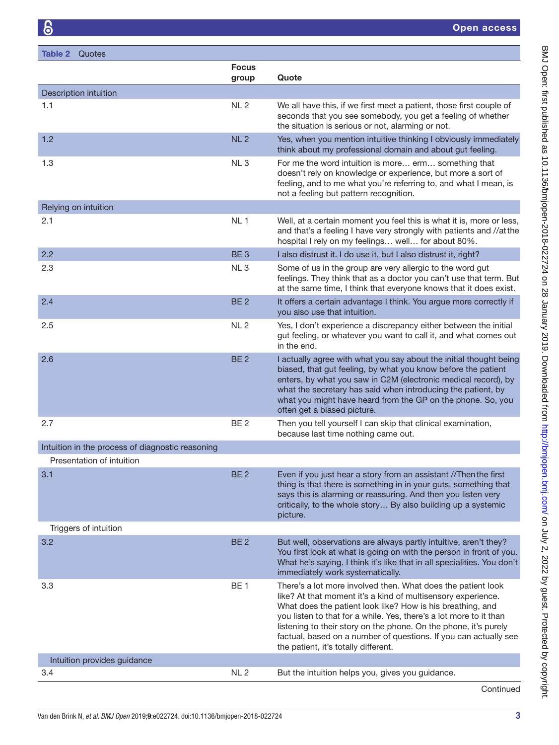<span id="page-2-0"></span>

| <b>Table 2</b> Quotes                            |                       |                                                                                                                                                                                                                                                                                                                                                                                                                                                  |
|--------------------------------------------------|-----------------------|--------------------------------------------------------------------------------------------------------------------------------------------------------------------------------------------------------------------------------------------------------------------------------------------------------------------------------------------------------------------------------------------------------------------------------------------------|
|                                                  | <b>Focus</b><br>group | Quote                                                                                                                                                                                                                                                                                                                                                                                                                                            |
| Description intuition                            |                       |                                                                                                                                                                                                                                                                                                                                                                                                                                                  |
| 1.1                                              | NL <sub>2</sub>       | We all have this, if we first meet a patient, those first couple of<br>seconds that you see somebody, you get a feeling of whether<br>the situation is serious or not, alarming or not.                                                                                                                                                                                                                                                          |
| 1.2                                              | NL <sub>2</sub>       | Yes, when you mention intuitive thinking I obviously immediately<br>think about my professional domain and about gut feeling.                                                                                                                                                                                                                                                                                                                    |
| 1.3                                              | NL <sub>3</sub>       | For me the word intuition is more erm something that<br>doesn't rely on knowledge or experience, but more a sort of<br>feeling, and to me what you're referring to, and what I mean, is<br>not a feeling but pattern recognition.                                                                                                                                                                                                                |
| Relying on intuition                             |                       |                                                                                                                                                                                                                                                                                                                                                                                                                                                  |
| 2.1                                              | NL 1                  | Well, at a certain moment you feel this is what it is, more or less,<br>and that's a feeling I have very strongly with patients and //atthe<br>hospital I rely on my feelings well for about 80%.                                                                                                                                                                                                                                                |
| 2.2                                              | BE <sub>3</sub>       | I also distrust it. I do use it, but I also distrust it, right?                                                                                                                                                                                                                                                                                                                                                                                  |
| 2.3                                              | NL <sub>3</sub>       | Some of us in the group are very allergic to the word gut<br>feelings. They think that as a doctor you can't use that term. But<br>at the same time, I think that everyone knows that it does exist.                                                                                                                                                                                                                                             |
| 2.4                                              | BE <sub>2</sub>       | It offers a certain advantage I think. You argue more correctly if<br>you also use that intuition.                                                                                                                                                                                                                                                                                                                                               |
| 2.5                                              | NL <sub>2</sub>       | Yes, I don't experience a discrepancy either between the initial<br>gut feeling, or whatever you want to call it, and what comes out<br>in the end.                                                                                                                                                                                                                                                                                              |
| 2.6                                              | BE <sub>2</sub>       | I actually agree with what you say about the initial thought being<br>biased, that gut feeling, by what you know before the patient<br>enters, by what you saw in C2M (electronic medical record), by<br>what the secretary has said when introducing the patient, by<br>what you might have heard from the GP on the phone. So, you<br>often get a biased picture.                                                                              |
| 2.7                                              | BE <sub>2</sub>       | Then you tell yourself I can skip that clinical examination,<br>because last time nothing came out.                                                                                                                                                                                                                                                                                                                                              |
| Intuition in the process of diagnostic reasoning |                       |                                                                                                                                                                                                                                                                                                                                                                                                                                                  |
| Presentation of intuition                        |                       |                                                                                                                                                                                                                                                                                                                                                                                                                                                  |
| 3.1                                              | BE <sub>2</sub>       | Even if you just hear a story from an assistant //Then the first<br>thing is that there is something in in your guts, something that<br>says this is alarming or reassuring. And then you listen very<br>critically, to the whole story By also building up a systemic<br>picture.                                                                                                                                                               |
| Triggers of intuition                            |                       |                                                                                                                                                                                                                                                                                                                                                                                                                                                  |
| 3.2                                              | BE <sub>2</sub>       | But well, observations are always partly intuitive, aren't they?<br>You first look at what is going on with the person in front of you.<br>What he's saying. I think it's like that in all specialities. You don't<br>immediately work systematically.                                                                                                                                                                                           |
| 3.3                                              | <b>BE1</b>            | There's a lot more involved then. What does the patient look<br>like? At that moment it's a kind of multisensory experience.<br>What does the patient look like? How is his breathing, and<br>you listen to that for a while. Yes, there's a lot more to it than<br>listening to their story on the phone. On the phone, it's purely<br>factual, based on a number of questions. If you can actually see<br>the patient, it's totally different. |
| Intuition provides guidance                      |                       |                                                                                                                                                                                                                                                                                                                                                                                                                                                  |
| 3.4                                              | NL <sub>2</sub>       | But the intuition helps you, gives you guidance.                                                                                                                                                                                                                                                                                                                                                                                                 |

BMJ Open: first published as 10.1136/bmjopen-2018-022724 on 28 January 2019. Downloaded from http://bmjopen.bmj.com/ on July 2, 2022 by guest. Protected by copyright. BMJ Open: first published as 10.1136/bmjopen-2018-022724 on 28 January 2019. Downloaded from <http://bmjopen.bmj.com/> on July 2, 2022 by guest. Protected by copyright.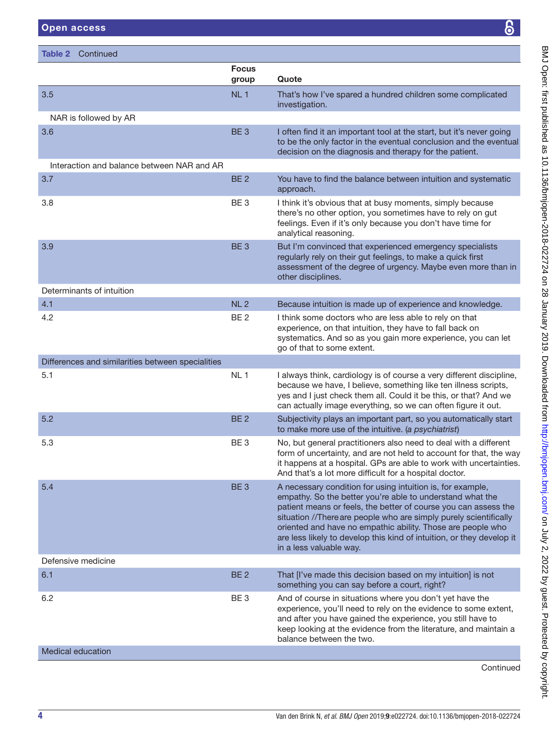Table 2 Continued

|                                                   | <b>Focus</b><br>group | Quote                                                                                                                                                                                                                                                                                                                                                                                                                              |
|---------------------------------------------------|-----------------------|------------------------------------------------------------------------------------------------------------------------------------------------------------------------------------------------------------------------------------------------------------------------------------------------------------------------------------------------------------------------------------------------------------------------------------|
| 3.5                                               | NL <sub>1</sub>       | That's how I've spared a hundred children some complicated<br>investigation.                                                                                                                                                                                                                                                                                                                                                       |
| NAR is followed by AR                             |                       |                                                                                                                                                                                                                                                                                                                                                                                                                                    |
| 3.6                                               | BE <sub>3</sub>       | I often find it an important tool at the start, but it's never going<br>to be the only factor in the eventual conclusion and the eventual<br>decision on the diagnosis and therapy for the patient.                                                                                                                                                                                                                                |
| Interaction and balance between NAR and AR        |                       |                                                                                                                                                                                                                                                                                                                                                                                                                                    |
| 3.7                                               | BE <sub>2</sub>       | You have to find the balance between intuition and systematic<br>approach.                                                                                                                                                                                                                                                                                                                                                         |
| 3.8                                               | BE <sub>3</sub>       | I think it's obvious that at busy moments, simply because<br>there's no other option, you sometimes have to rely on gut<br>feelings. Even if it's only because you don't have time for<br>analytical reasoning.                                                                                                                                                                                                                    |
| 3.9                                               | BE <sub>3</sub>       | But I'm convinced that experienced emergency specialists<br>regularly rely on their gut feelings, to make a quick first<br>assessment of the degree of urgency. Maybe even more than in<br>other disciplines.                                                                                                                                                                                                                      |
| Determinants of intuition                         |                       |                                                                                                                                                                                                                                                                                                                                                                                                                                    |
| 4.1                                               | NL <sub>2</sub>       | Because intuition is made up of experience and knowledge.                                                                                                                                                                                                                                                                                                                                                                          |
| 4.2                                               | BE <sub>2</sub>       | I think some doctors who are less able to rely on that<br>experience, on that intuition, they have to fall back on<br>systematics. And so as you gain more experience, you can let<br>go of that to some extent.                                                                                                                                                                                                                   |
| Differences and similarities between specialities |                       |                                                                                                                                                                                                                                                                                                                                                                                                                                    |
| 5.1                                               | NL <sub>1</sub>       | I always think, cardiology is of course a very different discipline,<br>because we have, I believe, something like ten illness scripts,<br>yes and I just check them all. Could it be this, or that? And we<br>can actually image everything, so we can often figure it out.                                                                                                                                                       |
| 5.2                                               | BE <sub>2</sub>       | Subjectivity plays an important part, so you automatically start<br>to make more use of the intuitive. (a psychiatrist)                                                                                                                                                                                                                                                                                                            |
| 5.3                                               | BE <sub>3</sub>       | No, but general practitioners also need to deal with a different<br>form of uncertainty, and are not held to account for that, the way<br>it happens at a hospital. GPs are able to work with uncertainties.<br>And that's a lot more difficult for a hospital doctor.                                                                                                                                                             |
| 5.4                                               | BE 3                  | A necessary condition for using intuition is, for example,<br>empathy. So the better you're able to understand what the<br>patient means or feels, the better of course you can assess the<br>situation //There are people who are simply purely scientifically<br>oriented and have no empathic ability. Those are people who<br>are less likely to develop this kind of intuition, or they develop it<br>in a less valuable way. |
| Defensive medicine                                |                       |                                                                                                                                                                                                                                                                                                                                                                                                                                    |
| 6.1                                               | BE <sub>2</sub>       | That [I've made this decision based on my intuition] is not<br>something you can say before a court, right?                                                                                                                                                                                                                                                                                                                        |
| 6.2                                               | BE <sub>3</sub>       | And of course in situations where you don't yet have the<br>experience, you'll need to rely on the evidence to some extent,<br>and after you have gained the experience, you still have to<br>keep looking at the evidence from the literature, and maintain a<br>balance between the two.                                                                                                                                         |
| <b>Medical education</b>                          |                       |                                                                                                                                                                                                                                                                                                                                                                                                                                    |
|                                                   |                       |                                                                                                                                                                                                                                                                                                                                                                                                                                    |

Continued

BMJ Open: first published as 10.1136/bmjopen-2018-022724 on 28 January 2019. Downloaded from http://bmjopen.bmj.com/ on July 2, 2022 by guest. Protected by copyright. BMJ Open: first published as 10.1136/bmjopen-2018-022724 on 28 January 2019. Downloaded from <http://bmjopen.bmj.com/> on July 2, 2022 by guest. Protected by copyright.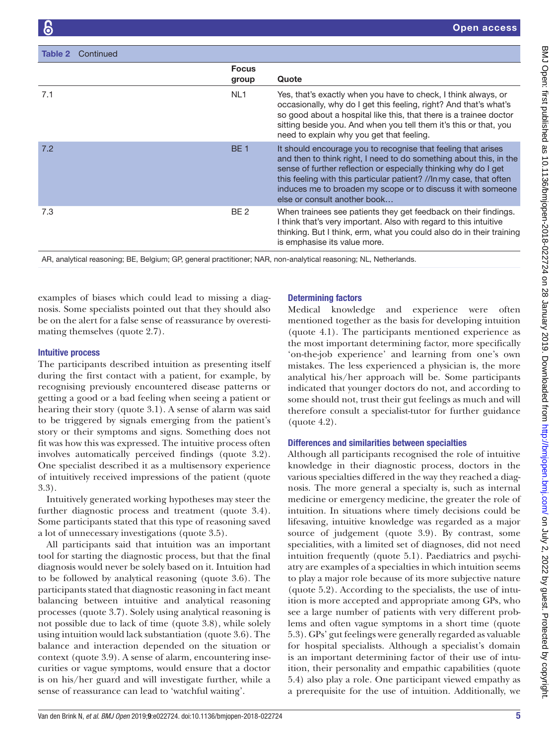| Continued<br>Table 2 |                       |                                                                                                                                                                                                                                                                                                                                                                               |
|----------------------|-----------------------|-------------------------------------------------------------------------------------------------------------------------------------------------------------------------------------------------------------------------------------------------------------------------------------------------------------------------------------------------------------------------------|
|                      | <b>Focus</b><br>group | Quote                                                                                                                                                                                                                                                                                                                                                                         |
| 7.1                  | NL <sub>1</sub>       | Yes, that's exactly when you have to check, I think always, or<br>occasionally, why do I get this feeling, right? And that's what's<br>so good about a hospital like this, that there is a trainee doctor<br>sitting beside you. And when you tell them it's this or that, you<br>need to explain why you get that feeling.                                                   |
| 7.2                  | <b>BE1</b>            | It should encourage you to recognise that feeling that arises<br>and then to think right, I need to do something about this, in the<br>sense of further reflection or especially thinking why do I get<br>this feeling with this particular patient? //In my case, that often<br>induces me to broaden my scope or to discuss it with someone<br>else or consult another book |
| 7.3                  | BE <sub>2</sub>       | When trainees see patients they get feedback on their findings.<br>I think that's very important. Also with regard to this intuitive<br>thinking. But I think, erm, what you could also do in their training<br>is emphasise its value more.                                                                                                                                  |

AR, analytical reasoning; BE, Belgium; GP, general practitioner; NAR, non-analytical reasoning; NL, Netherlands.

examples of biases which could lead to missing a diagnosis. Some specialists pointed out that they should also be on the alert for a false sense of reassurance by overestimating themselves (quote 2.7).

## Intuitive process

The participants described intuition as presenting itself during the first contact with a patient, for example, by recognising previously encountered disease patterns or getting a good or a bad feeling when seeing a patient or hearing their story (quote 3.1). A sense of alarm was said to be triggered by signals emerging from the patient's story or their symptoms and signs. Something does not fit was how this was expressed. The intuitive process often involves automatically perceived findings (quote 3.2). One specialist described it as a multisensory experience of intuitively received impressions of the patient (quote 3.3).

Intuitively generated working hypotheses may steer the further diagnostic process and treatment (quote 3.4). Some participants stated that this type of reasoning saved a lot of unnecessary investigations (quote 3.5).

All participants said that intuition was an important tool for starting the diagnostic process, but that the final diagnosis would never be solely based on it. Intuition had to be followed by analytical reasoning (quote 3.6). The participants stated that diagnostic reasoning in fact meant balancing between intuitive and analytical reasoning processes (quote 3.7). Solely using analytical reasoning is not possible due to lack of time (quote 3.8), while solely using intuition would lack substantiation (quote 3.6). The balance and interaction depended on the situation or context (quote 3.9). A sense of alarm, encountering insecurities or vague symptoms, would ensure that a doctor is on his/her guard and will investigate further, while a sense of reassurance can lead to 'watchful waiting'.

# Determining factors

Medical knowledge and experience were often mentioned together as the basis for developing intuition (quote 4.1). The participants mentioned experience as the most important determining factor, more specifically 'on-the-job experience' and learning from one's own mistakes. The less experienced a physician is, the more analytical his/her approach will be. Some participants indicated that younger doctors do not, and according to some should not, trust their gut feelings as much and will therefore consult a specialist-tutor for further guidance (quote 4.2).

# Differences and similarities between specialties

Although all participants recognised the role of intuitive knowledge in their diagnostic process, doctors in the various specialties differed in the way they reached a diagnosis. The more general a specialty is, such as internal medicine or emergency medicine, the greater the role of intuition. In situations where timely decisions could be lifesaving, intuitive knowledge was regarded as a major source of judgement (quote 3.9). By contrast, some specialities, with a limited set of diagnoses, did not need intuition frequently (quote 5.1). Paediatrics and psychiatry are examples of a specialties in which intuition seems to play a major role because of its more subjective nature (quote 5.2). According to the specialists, the use of intuition is more accepted and appropriate among GPs, who see a large number of patients with very different problems and often vague symptoms in a short time (quote 5.3). GPs' gut feelings were generally regarded as valuable for hospital specialists. Although a specialist's domain is an important determining factor of their use of intuition, their personality and empathic capabilities (quote 5.4) also play a role. One participant viewed empathy as a prerequisite for the use of intuition. Additionally, we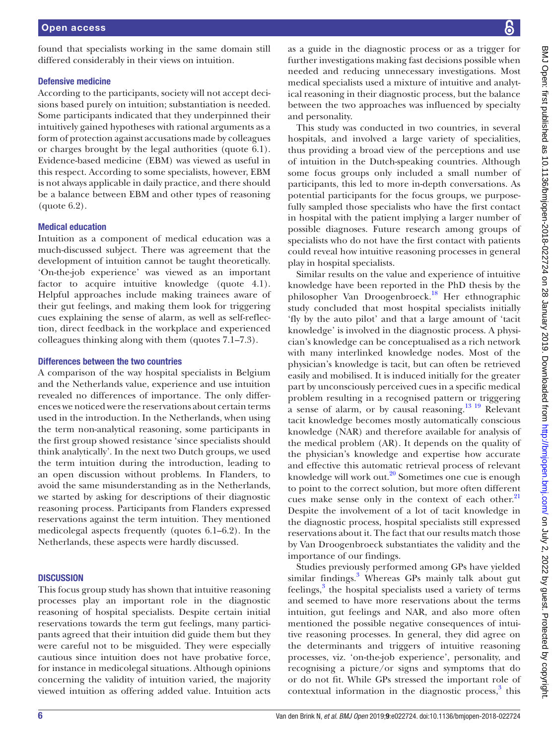found that specialists working in the same domain still differed considerably in their views on intuition.

#### Defensive medicine

According to the participants, society will not accept decisions based purely on intuition; substantiation is needed. Some participants indicated that they underpinned their intuitively gained hypotheses with rational arguments as a form of protection against accusations made by colleagues or charges brought by the legal authorities (quote 6.1). Evidence-based medicine (EBM) was viewed as useful in this respect. According to some specialists, however, EBM is not always applicable in daily practice, and there should be a balance between EBM and other types of reasoning (quote 6.2).

#### Medical education

Intuition as a component of medical education was a much-discussed subject. There was agreement that the development of intuition cannot be taught theoretically. 'On-the-job experience' was viewed as an important factor to acquire intuitive knowledge (quote 4.1). Helpful approaches include making trainees aware of their gut feelings, and making them look for triggering cues explaining the sense of alarm, as well as self-reflection, direct feedback in the workplace and experienced colleagues thinking along with them (quotes 7.1–7.3).

#### Differences between the two countries

A comparison of the way hospital specialists in Belgium and the Netherlands value, experience and use intuition revealed no differences of importance. The only differences we noticed were the reservations about certain terms used in the introduction. In the Netherlands, when using the term non-analytical reasoning, some participants in the first group showed resistance 'since specialists should think analytically'. In the next two Dutch groups, we used the term intuition during the introduction, leading to an open discussion without problems. In Flanders, to avoid the same misunderstanding as in the Netherlands, we started by asking for descriptions of their diagnostic reasoning process. Participants from Flanders expressed reservations against the term intuition. They mentioned medicolegal aspects frequently (quotes 6.1–6.2). In the Netherlands, these aspects were hardly discussed.

## **DISCUSSION**

This focus group study has shown that intuitive reasoning processes play an important role in the diagnostic reasoning of hospital specialists. Despite certain initial reservations towards the term gut feelings, many participants agreed that their intuition did guide them but they were careful not to be misguided. They were especially cautious since intuition does not have probative force, for instance in medicolegal situations. Although opinions concerning the validity of intuition varied, the majority viewed intuition as offering added value. Intuition acts

as a guide in the diagnostic process or as a trigger for further investigations making fast decisions possible when needed and reducing unnecessary investigations. Most medical specialists used a mixture of intuitive and analytical reasoning in their diagnostic process, but the balance between the two approaches was influenced by specialty and personality.

This study was conducted in two countries, in several hospitals, and involved a large variety of specialities, thus providing a broad view of the perceptions and use of intuition in the Dutch-speaking countries. Although some focus groups only included a small number of participants, this led to more in-depth conversations. As potential participants for the focus groups, we purposefully sampled those specialists who have the first contact in hospital with the patient implying a larger number of possible diagnoses. Future research among groups of specialists who do not have the first contact with patients could reveal how intuitive reasoning processes in general play in hospital specialists.

Similar results on the value and experience of intuitive knowledge have been reported in the PhD thesis by the philosopher Van Droogenbroeck.[18](#page-7-1) Her ethnographic study concluded that most hospital specialists initially 'fly by the auto pilot' and that a large amount of 'tacit knowledge' is involved in the diagnostic process. A physician's knowledge can be conceptualised as a rich network with many interlinked knowledge nodes. Most of the physician's knowledge is tacit, but can often be retrieved easily and mobilised. It is induced initially for the greater part by unconsciously perceived cues in a specific medical problem resulting in a recognised pattern or triggering a sense of alarm, or by causal reasoning.<sup>13</sup> 19 Relevant tacit knowledge becomes mostly automatically conscious knowledge (NAR) and therefore available for analysis of the medical problem (AR). It depends on the quality of the physician's knowledge and expertise how accurate and effective this automatic retrieval process of relevant knowledge will work out. $20$  Sometimes one cue is enough to point to the correct solution, but more often different cues make sense only in the context of each other. $21$ Despite the involvement of a lot of tacit knowledge in the diagnostic process, hospital specialists still expressed reservations about it. The fact that our results match those by Van Droogenbroeck substantiates the validity and the importance of our findings.

Studies previously performed among GPs have yielded similar findings.<sup>[3](#page-6-1)</sup> Whereas GPs mainly talk about gut  $f$ eelings, $3$  the hospital specialists used a variety of terms and seemed to have more reservations about the terms intuition, gut feelings and NAR, and also more often mentioned the possible negative consequences of intuitive reasoning processes. In general, they did agree on the determinants and triggers of intuitive reasoning processes, viz. 'on-the-job experience', personality, and recognising a picture/or signs and symptoms that do or do not fit. While GPs stressed the important role of contextual information in the diagnostic process,<sup>[3](#page-6-1)</sup> this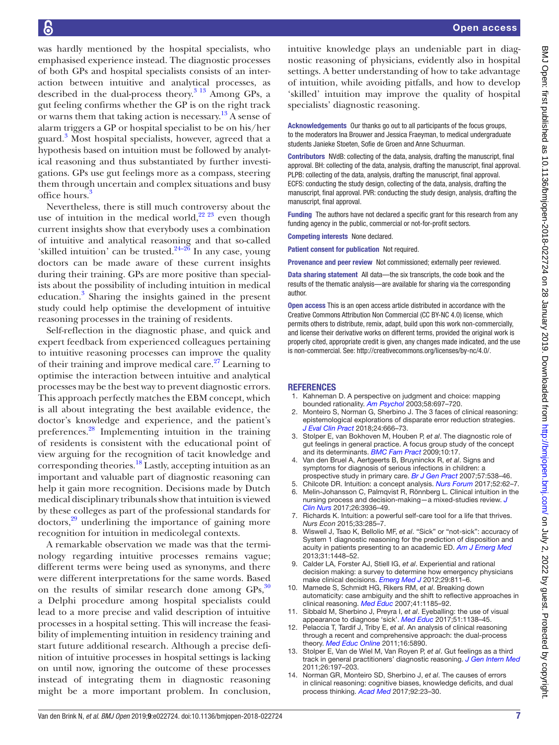was hardly mentioned by the hospital specialists, who emphasised experience instead. The diagnostic processes of both GPs and hospital specialists consists of an interaction between intuitive and analytical processes, as described in the dual-process theory.<sup>3 13</sup> Among GPs, a gut feeling confirms whether the GP is on the right track or warns them that taking action is necessary.[13](#page-6-6) A sense of alarm triggers a GP or hospital specialist to be on his/her guard.<sup>[3](#page-6-1)</sup> Most hospital specialists, however, agreed that a hypothesis based on intuition must be followed by analytical reasoning and thus substantiated by further investigations. GPs use gut feelings more as a compass, steering them through uncertain and complex situations and busy office hours.<sup>[3](#page-6-1)</sup>

Nevertheless, there is still much controversy about the use of intuition in the medical world,  $22^{22}$  even though current insights show that everybody uses a combination of intuitive and analytical reasoning and that so-called 'skilled intuition' can be trusted. $24-26$  In any case, young doctors can be made aware of these current insights during their training. GPs are more positive than specialists about the possibility of including intuition in medical education.<sup>[3](#page-6-1)</sup> Sharing the insights gained in the present study could help optimise the development of intuitive reasoning processes in the training of residents.

Self-reflection in the diagnostic phase, and quick and expert feedback from experienced colleagues pertaining to intuitive reasoning processes can improve the quality of their training and improve medical care. $27$  Learning to optimise the interaction between intuitive and analytical processes may be the best way to prevent diagnostic errors. This approach perfectly matches the EBM concept, which is all about integrating the best available evidence, the doctor's knowledge and experience, and the patient's preferences[.28](#page-7-7) Implementing intuition in the training of residents is consistent with the educational point of view arguing for the recognition of tacit knowledge and corresponding theories[.18](#page-7-1) Lastly, accepting intuition as an important and valuable part of diagnostic reasoning can help it gain more recognition. Decisions made by Dutch medical disciplinary tribunals show that intuition is viewed by these colleges as part of the professional standards for  $dotors<sup>29</sup>$  underlining the importance of gaining more recognition for intuition in medicolegal contexts.

A remarkable observation we made was that the terminology regarding intuitive processes remains vague; different terms were being used as synonyms, and there were different interpretations for the same words. Based on the results of similar research done among  $\text{GPs},^{30}$ a Delphi procedure among hospital specialists could lead to a more precise and valid description of intuitive processes in a hospital setting. This will increase the feasibility of implementing intuition in residency training and start future additional research. Although a precise definition of intuitive processes in hospital settings is lacking on until now, ignoring the outcome of these processes instead of integrating them in diagnostic reasoning might be a more important problem. In conclusion,

intuitive knowledge plays an undeniable part in diagnostic reasoning of physicians, evidently also in hospital settings. A better understanding of how to take advantage of intuition, while avoiding pitfalls, and how to develop 'skilled' intuition may improve the quality of hospital specialists' diagnostic reasoning.

Acknowledgements Our thanks go out to all participants of the focus groups, to the moderators Ina Brouwer and Jessica Fraeyman, to medical undergraduate students Janieke Stoeten, Sofie de Groen and Anne Schuurman.

Contributors NVdB: collecting of the data, analysis, drafting the manuscript, final approval. BH: collecting of the data, analysis, drafting the manuscript, final approval. PLPB: collecting of the data, analysis, drafting the manuscript, final approval. ECFS: conducting the study design, collecting of the data, analysis, drafting the manuscript, final approval. PVR: conducting the study design, analysis, drafting the manuscript, final approval.

Funding The authors have not declared a specific grant for this research from any funding agency in the public, commercial or not-for-profit sectors.

Competing interests None declared.

Patient consent for publication Not required.

Provenance and peer review Not commissioned; externally peer reviewed.

Data sharing statement All data—the six transcripts, the code book and the results of the thematic analysis—are available for sharing via the corresponding author.

Open access This is an open access article distributed in accordance with the Creative Commons Attribution Non Commercial (CC BY-NC 4.0) license, which permits others to distribute, remix, adapt, build upon this work non-commercially, and license their derivative works on different terms, provided the original work is properly cited, appropriate credit is given, any changes made indicated, and the use is non-commercial. See: [http://creativecommons.org/licenses/by-nc/4.0/.](http://creativecommons.org/licenses/by-nc/4.0/)

#### **REFERENCES**

- <span id="page-6-0"></span>Kahneman D. A perspective on judgment and choice: mapping bounded rationality. *[Am Psychol](http://dx.doi.org/10.1037/0003-066X.58.9.697)* 2003;58:697–720.
- 2. Monteiro S, Norman G, Sherbino J. The 3 faces of clinical reasoning: epistemological explorations of disparate error reduction strategies. *[J Eval Clin Pract](http://dx.doi.org/10.1111/jep.12907)* 2018;24:666–73.
- <span id="page-6-1"></span>3. Stolper E, van Bokhoven M, Houben P, *et al*. The diagnostic role of gut feelings in general practice. A focus group study of the concept and its determinants. *[BMC Fam Pract](http://dx.doi.org/10.1186/1471-2296-10-17)* 2009;10:17.
- <span id="page-6-2"></span>4. Van den Bruel A, Aertgeerts B, Bruyninckx R, *et al*. Signs and symptoms for diagnosis of serious infections in children: a prospective study in primary care. *[Br J Gen Pract](http://www.ncbi.nlm.nih.gov/pubmed/17727746)* 2007;57:538–46.
- <span id="page-6-3"></span>5. Chilcote DR. Intuition: a concept analysis. *[Nurs Forum](http://dx.doi.org/10.1111/nuf.12162)* 2017;52:62–7.
- 6. Melin-Johansson C, Palmqvist R, Rönnberg L. Clinical intuition in the nursing process and decision-making—a mixed-studies review. *[J](http://dx.doi.org/10.1111/jocn.13814)  [Clin Nurs](http://dx.doi.org/10.1111/jocn.13814)* 2017;26:3936–49.
- 7. Richards K. Intuition: a powerful self-care tool for a life that thrives. *Nurs Econ* 2015;33:285–7.
- <span id="page-6-4"></span>8. Wiswell J, Tsao K, Bellolio MF, *et al*. "Sick" or "not-sick": accuracy of System 1 diagnostic reasoning for the prediction of disposition and acuity in patients presenting to an academic ED. *[Am J Emerg Med](http://dx.doi.org/10.1016/j.ajem.2013.07.018)* 2013;31:1448–52.
- 9. Calder LA, Forster AJ, Stiell IG, *et al*. Experiential and rational decision making: a survey to determine how emergency physicians make clinical decisions. *[Emerg Med J](http://dx.doi.org/10.1136/emermed-2011-200468)* 2012;29:811–6.
- 10. Mamede S, Schmidt HG, Rikers RM, *et al*. Breaking down automaticity: case ambiguity and the shift to reflective approaches in clinical reasoning. *[Med Educ](http://dx.doi.org/10.1111/j.1365-2923.2007.02921.x)* 2007;41:1185–92.
- 11. Sibbald M, Sherbino J, Preyra I, *et al*. Eyeballing: the use of visual appearance to diagnose 'sick'. *[Med Educ](http://dx.doi.org/10.1111/medu.13396)* 2017;51:1138–45.
- 12. Pelaccia T, Tardif J, Triby E, *et al*. An analysis of clinical reasoning through a recent and comprehensive approach: the dual-process theory. *[Med Educ Online](http://dx.doi.org/10.3402/meo.v16i0.5890)* 2011;16:5890.
- <span id="page-6-6"></span>13. Stolper E, Van de Wiel M, Van Royen P, *et al*. Gut feelings as a third track in general practitioners' diagnostic reasoning. *[J Gen Intern Med](http://dx.doi.org/10.1007/s11606-010-1524-5)* 2011;26:197–203.
- <span id="page-6-5"></span>14. Norman GR, Monteiro SD, Sherbino J, *et al*. The causes of errors in clinical reasoning: cognitive biases, knowledge deficits, and dual process thinking. *[Acad Med](http://dx.doi.org/10.1097/ACM.0000000000001421)* 2017;92:23–30.

BMJ Open: first published as 10.1136/bmijopen-2018-022724 on 28 January 2019. Downloaded from http://bmjopen.bmj.com/ on July 2, 2022 by guest. Protected by copyright BMJ Open: first published as 10.1136/bmjopen-2018-022724 on 28 January 2019. Downloaded from <http://bmjopen.bmj.com/> on July 2, 2022 by guest. Protected by copyright.